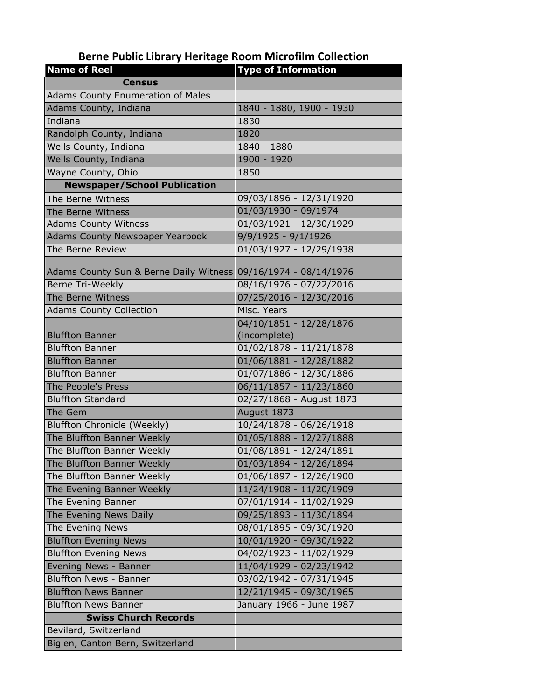## **Berne Public Library Heritage Room Microfilm Collection**

| <b>Name of Reel</b>                                            | <b>Type of Information</b> |
|----------------------------------------------------------------|----------------------------|
| <b>Census</b>                                                  |                            |
| <b>Adams County Enumeration of Males</b>                       |                            |
| Adams County, Indiana                                          | 1840 - 1880, 1900 - 1930   |
| Indiana                                                        | 1830                       |
| Randolph County, Indiana                                       | 1820                       |
| Wells County, Indiana                                          | 1840 - 1880                |
| Wells County, Indiana                                          | 1900 - 1920                |
| Wayne County, Ohio                                             | 1850                       |
| <b>Newspaper/School Publication</b>                            |                            |
| The Berne Witness                                              | 09/03/1896 - 12/31/1920    |
| The Berne Witness                                              | $01/03/1930 - 09/1974$     |
| <b>Adams County Witness</b>                                    | 01/03/1921 - 12/30/1929    |
| <b>Adams County Newspaper Yearbook</b>                         | $9/9/1925 - 9/1/1926$      |
| The Berne Review                                               | 01/03/1927 - 12/29/1938    |
|                                                                |                            |
| Adams County Sun & Berne Daily Witness 09/16/1974 - 08/14/1976 |                            |
| <b>Berne Tri-Weekly</b>                                        | 08/16/1976 - 07/22/2016    |
| The Berne Witness                                              | 07/25/2016 - 12/30/2016    |
| <b>Adams County Collection</b>                                 | Misc. Years                |
|                                                                | 04/10/1851 - 12/28/1876    |
| <b>Bluffton Banner</b>                                         | (incomplete)               |
| <b>Bluffton Banner</b>                                         | $01/02/1878 - 11/21/1878$  |
| <b>Bluffton Banner</b>                                         | 01/06/1881 - 12/28/1882    |
| <b>Bluffton Banner</b>                                         | 01/07/1886 - 12/30/1886    |
| The People's Press                                             | 06/11/1857 - 11/23/1860    |
| <b>Bluffton Standard</b>                                       | 02/27/1868 - August 1873   |
| The Gem                                                        | August 1873                |
| <b>Bluffton Chronicle (Weekly)</b>                             | 10/24/1878 - 06/26/1918    |
| The Bluffton Banner Weekly                                     | $01/05/1888 - 12/27/1888$  |
| The Bluffton Banner Weekly                                     | 01/08/1891 - 12/24/1891    |
| The Bluffton Banner Weekly                                     | 01/03/1894 - 12/26/1894    |
| The Bluffton Banner Weekly                                     | 01/06/1897 - 12/26/1900    |
| The Evening Banner Weekly                                      | 11/24/1908 - 11/20/1909    |
| The Evening Banner                                             | 07/01/1914 - 11/02/1929    |
| The Evening News Daily                                         | 09/25/1893 - 11/30/1894    |
| The Evening News                                               | 08/01/1895 - 09/30/1920    |
| <b>Bluffton Evening News</b>                                   | 10/01/1920 - 09/30/1922    |
| <b>Bluffton Evening News</b>                                   | $04/02/1923 - 11/02/1929$  |
| Evening News - Banner                                          | 11/04/1929 - 02/23/1942    |
| <b>Bluffton News - Banner</b>                                  | 03/02/1942 - 07/31/1945    |
| <b>Bluffton News Banner</b>                                    | 12/21/1945 - 09/30/1965    |
| <b>Bluffton News Banner</b>                                    | January 1966 - June 1987   |
| <b>Swiss Church Records</b>                                    |                            |
| Bevilard, Switzerland                                          |                            |
| Biglen, Canton Bern, Switzerland                               |                            |